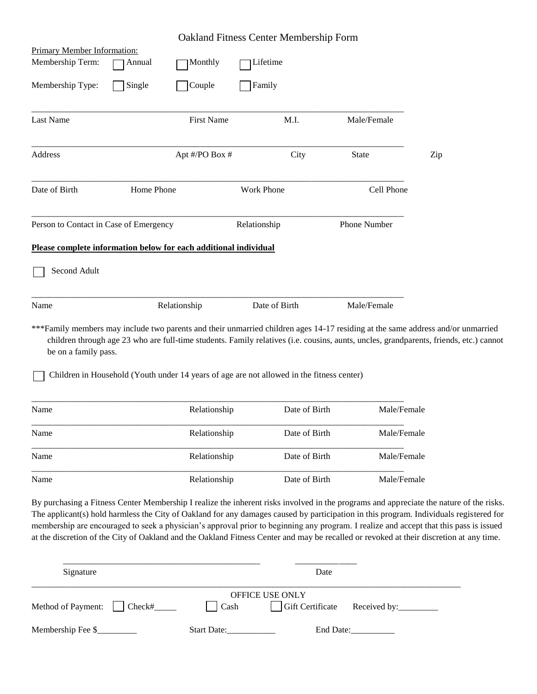|                                                                  |            |                   | <b>Oakland Fitness Center Membership Form</b>                                             |               |                                                                                                                                                                                                                                                                                                                                                                                                                                                                                                                                                                        |  |
|------------------------------------------------------------------|------------|-------------------|-------------------------------------------------------------------------------------------|---------------|------------------------------------------------------------------------------------------------------------------------------------------------------------------------------------------------------------------------------------------------------------------------------------------------------------------------------------------------------------------------------------------------------------------------------------------------------------------------------------------------------------------------------------------------------------------------|--|
| <b>Primary Member Information:</b>                               |            |                   |                                                                                           |               |                                                                                                                                                                                                                                                                                                                                                                                                                                                                                                                                                                        |  |
| Membership Term:                                                 | Annual     | Monthly           | Lifetime                                                                                  |               |                                                                                                                                                                                                                                                                                                                                                                                                                                                                                                                                                                        |  |
| Membership Type:                                                 | Single     | Couple            | Family                                                                                    |               |                                                                                                                                                                                                                                                                                                                                                                                                                                                                                                                                                                        |  |
|                                                                  |            |                   |                                                                                           |               |                                                                                                                                                                                                                                                                                                                                                                                                                                                                                                                                                                        |  |
| Last Name                                                        |            | <b>First Name</b> | M.I.                                                                                      | Male/Female   |                                                                                                                                                                                                                                                                                                                                                                                                                                                                                                                                                                        |  |
|                                                                  |            |                   |                                                                                           |               |                                                                                                                                                                                                                                                                                                                                                                                                                                                                                                                                                                        |  |
| Address                                                          |            | Apt #/PO Box #    | City                                                                                      | State         | Zip                                                                                                                                                                                                                                                                                                                                                                                                                                                                                                                                                                    |  |
|                                                                  |            |                   |                                                                                           |               |                                                                                                                                                                                                                                                                                                                                                                                                                                                                                                                                                                        |  |
| Date of Birth                                                    | Home Phone |                   | <b>Work Phone</b>                                                                         |               | Cell Phone                                                                                                                                                                                                                                                                                                                                                                                                                                                                                                                                                             |  |
|                                                                  |            |                   |                                                                                           |               |                                                                                                                                                                                                                                                                                                                                                                                                                                                                                                                                                                        |  |
| Person to Contact in Case of Emergency                           |            |                   | Relationship                                                                              | Phone Number  |                                                                                                                                                                                                                                                                                                                                                                                                                                                                                                                                                                        |  |
| Please complete information below for each additional individual |            |                   |                                                                                           |               |                                                                                                                                                                                                                                                                                                                                                                                                                                                                                                                                                                        |  |
|                                                                  |            |                   |                                                                                           |               |                                                                                                                                                                                                                                                                                                                                                                                                                                                                                                                                                                        |  |
| Second Adult                                                     |            |                   |                                                                                           |               |                                                                                                                                                                                                                                                                                                                                                                                                                                                                                                                                                                        |  |
|                                                                  |            |                   |                                                                                           |               |                                                                                                                                                                                                                                                                                                                                                                                                                                                                                                                                                                        |  |
| Name                                                             |            | Relationship      | Date of Birth                                                                             | Male/Female   |                                                                                                                                                                                                                                                                                                                                                                                                                                                                                                                                                                        |  |
| be on a family pass.                                             |            |                   |                                                                                           |               | ***Family members may include two parents and their unmarried children ages 14-17 residing at the same address and/or unmarried<br>children through age 23 who are full-time students. Family relatives (i.e. cousins, aunts, uncles, grandparents, friends, etc.) cannot                                                                                                                                                                                                                                                                                              |  |
|                                                                  |            |                   | Children in Household (Youth under 14 years of age are not allowed in the fitness center) |               |                                                                                                                                                                                                                                                                                                                                                                                                                                                                                                                                                                        |  |
|                                                                  |            |                   |                                                                                           |               |                                                                                                                                                                                                                                                                                                                                                                                                                                                                                                                                                                        |  |
| Name                                                             |            | Relationship      |                                                                                           | Date of Birth | Male/Female                                                                                                                                                                                                                                                                                                                                                                                                                                                                                                                                                            |  |
| Name                                                             |            | Relationship      |                                                                                           | Date of Birth | Male/Female                                                                                                                                                                                                                                                                                                                                                                                                                                                                                                                                                            |  |
|                                                                  |            |                   |                                                                                           |               |                                                                                                                                                                                                                                                                                                                                                                                                                                                                                                                                                                        |  |
| Name                                                             |            | Relationship      |                                                                                           | Date of Birth | Male/Female                                                                                                                                                                                                                                                                                                                                                                                                                                                                                                                                                            |  |
| Name                                                             |            | Relationship      |                                                                                           | Date of Birth | Male/Female                                                                                                                                                                                                                                                                                                                                                                                                                                                                                                                                                            |  |
|                                                                  |            |                   |                                                                                           |               | By purchasing a Fitness Center Membership I realize the inherent risks involved in the programs and appreciate the nature of the risks.<br>The applicant(s) hold harmless the City of Oakland for any damages caused by participation in this program. Individuals registered for<br>membership are encouraged to seek a physician's approval prior to beginning any program. I realize and accept that this pass is issued<br>at the discretion of the City of Oakland and the Oakland Fitness Center and may be recalled or revoked at their discretion at any time. |  |
| Signature                                                        |            |                   |                                                                                           | Date          |                                                                                                                                                                                                                                                                                                                                                                                                                                                                                                                                                                        |  |

|                             | <b>OFFICE USE ONLY</b> |                    |           |                               |  |  |
|-----------------------------|------------------------|--------------------|-----------|-------------------------------|--|--|
| Method of Payment:   Check# |                        | l Cash             |           | Gift Certificate Received by: |  |  |
| Membership Fee \$_          |                        | <b>Start Date:</b> | End Date: |                               |  |  |